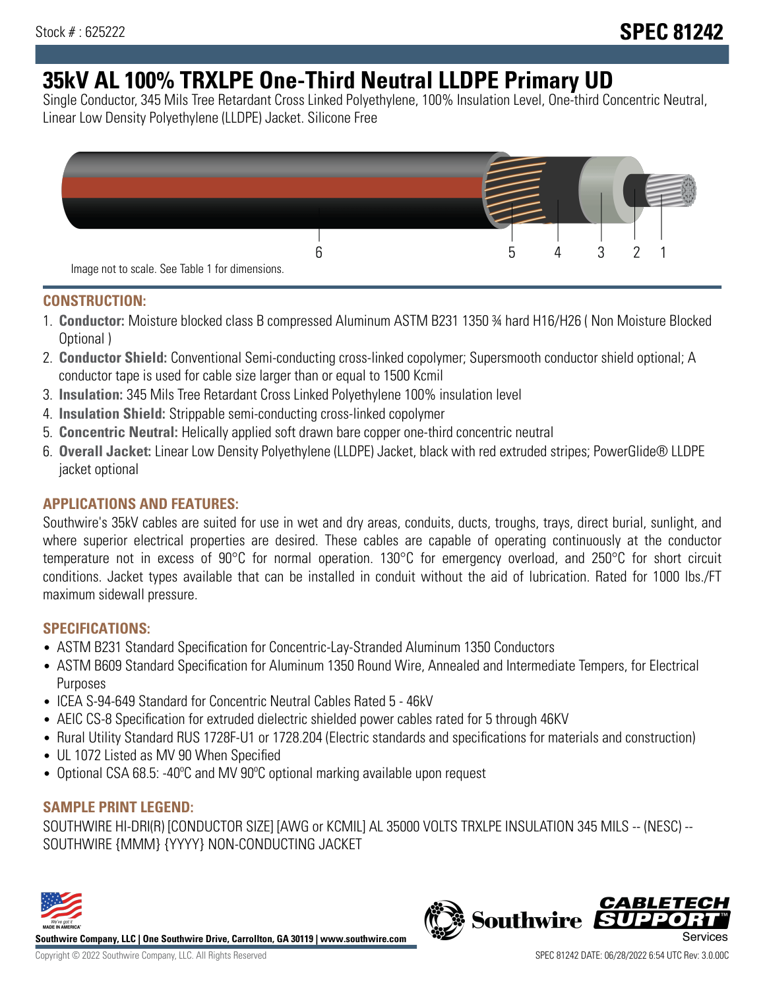# **35kV AL 100% TRXLPE One-Third Neutral LLDPE Primary UD**

Single Conductor, 345 Mils Tree Retardant Cross Linked Polyethylene, 100% Insulation Level, One-third Concentric Neutral, Linear Low Density Polyethylene (LLDPE) Jacket. Silicone Free



### **CONSTRUCTION:**

- 1. **Conductor:** Moisture blocked class B compressed Aluminum ASTM B231 1350 ¾ hard H16/H26 ( Non Moisture Blocked Optional )
- 2. **Conductor Shield:** Conventional Semi-conducting cross-linked copolymer; Supersmooth conductor shield optional; A conductor tape is used for cable size larger than or equal to 1500 Kcmil
- 3. **Insulation:** 345 Mils Tree Retardant Cross Linked Polyethylene 100% insulation level
- 4. **Insulation Shield:** Strippable semi-conducting cross-linked copolymer
- 5. **Concentric Neutral:** Helically applied soft drawn bare copper one-third concentric neutral
- 6. **Overall Jacket:** Linear Low Density Polyethylene (LLDPE) Jacket, black with red extruded stripes; PowerGlide® LLDPE jacket optional

## **APPLICATIONS AND FEATURES:**

Southwire's 35kV cables are suited for use in wet and dry areas, conduits, ducts, troughs, trays, direct burial, sunlight, and where superior electrical properties are desired. These cables are capable of operating continuously at the conductor temperature not in excess of 90°C for normal operation. 130°C for emergency overload, and 250°C for short circuit conditions. Jacket types available that can be installed in conduit without the aid of lubrication. Rated for 1000 lbs./FT maximum sidewall pressure.

## **SPECIFICATIONS:**

- ASTM B231 Standard Specification for Concentric-Lay-Stranded Aluminum 1350 Conductors
- ASTM B609 Standard Specification for Aluminum 1350 Round Wire, Annealed and Intermediate Tempers, for Electrical Purposes
- ICEA S-94-649 Standard for Concentric Neutral Cables Rated 5 46kV
- AEIC CS-8 Specification for extruded dielectric shielded power cables rated for 5 through 46KV
- Rural Utility Standard RUS 1728F-U1 or 1728.204 (Electric standards and specifications for materials and construction)
- UL 1072 Listed as MV 90 When Specified
- Optional CSA 68.5: -40ºC and MV 90ºC optional marking available upon request

## **SAMPLE PRINT LEGEND:**

SOUTHWIRE HI-DRI(R) [CONDUCTOR SIZE] [AWG or KCMIL] AL 35000 VOLTS TRXLPE INSULATION 345 MILS -- (NESC) -- SOUTHWIRE {MMM} {YYYY} NON-CONDUCTING JACKET



**Southwire Company, LLC | One Southwire Drive, Carrollton, GA 30119 | www.southwire.com**

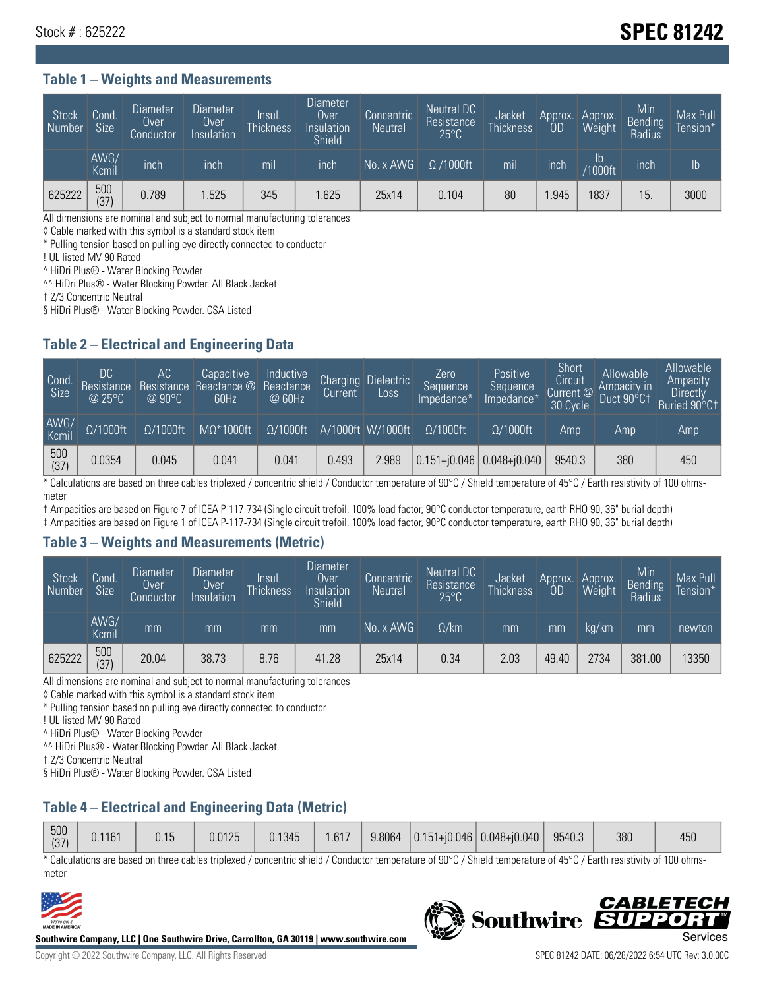## Stock # : 625222 **SPEC 81242**

#### **Table 1 – Weights and Measurements**

| Stock<br>Number | Cond.<br>Size <sup>1</sup> | <b>Diameter</b><br>Over<br>Conductor | <b>Diameter</b><br>Over<br>Insulation | <b>Insul</b><br><b>Thickness</b> | <b>Diameter</b><br>Over<br>Insulation<br>Shield | Concentric<br><b>Neutral</b> | Neutral DC<br>Resistance<br>$25^{\circ}$ C | Jacket<br><b>Thickness</b> | Approx.<br>0D | Approx.<br>Weight    | Min<br><b>Bending</b><br>Radius | Max Pull<br>Tension*' |
|-----------------|----------------------------|--------------------------------------|---------------------------------------|----------------------------------|-------------------------------------------------|------------------------------|--------------------------------------------|----------------------------|---------------|----------------------|---------------------------------|-----------------------|
|                 | AWG/<br>Kcmil              | inch                                 | inch                                  | m <sub>l</sub>                   | inch                                            | No. x AWG                    | $\Omega$ /1000ft                           | mil                        | inch          | Ib<br><b>Y1000ft</b> | inch                            | Ib                    |
| 625222          | 500<br>(37)                | 0.789                                | .525                                  | 345                              | .625                                            | 25x14                        | 0.104                                      | 80                         | .945          | 1837                 | 15                              | 3000                  |

All dimensions are nominal and subject to normal manufacturing tolerances

◊ Cable marked with this symbol is a standard stock item

\* Pulling tension based on pulling eye directly connected to conductor

! UL listed MV-90 Rated

^ HiDri Plus® - Water Blocking Powder

^^ HiDri Plus® - Water Blocking Powder. All Black Jacket

† 2/3 Concentric Neutral

§ HiDri Plus® - Water Blocking Powder. CSA Listed

#### **Table 2 – Electrical and Engineering Data**

| Cond.<br>Size      | 'DC.<br>Resistance<br>@25°C | АC<br>Resistance<br>$\varpi$ 90°C | Capacitive<br>Reactance @<br>60Hz | Inductive<br>Reactance<br>@ 60Hz | <b>Charging</b><br>Current' | <b>Dielectric</b><br>Loss | Zero<br>Sequence<br>Impedance* | Positive<br>Sequence<br>Impedance <sup>®</sup> | Short<br>Circuit<br>Current <sup>@</sup><br>30 Cycle | Allowable<br>Ampacity in<br>Duct 90°C† | Allowable<br>Ampacity<br>Directly<br>Buried 90°C‡ |
|--------------------|-----------------------------|-----------------------------------|-----------------------------------|----------------------------------|-----------------------------|---------------------------|--------------------------------|------------------------------------------------|------------------------------------------------------|----------------------------------------|---------------------------------------------------|
| AWG/<br>Kcmil      | $\Omega/1000$ ft            | $\Omega/1000$ ft                  | $M\Omega^*1000$ ft                | $\Omega/1000$ ft                 |                             | A/1000ft W/1000ft         | $\Omega/1000$ ft               | $\Omega$ /1000ft                               | Amp                                                  | Amp                                    | Amp                                               |
| $\frac{500}{(37)}$ | 0.0354                      | 0.045                             | 0.041                             | 0.041                            | 0.493                       | 2.989                     |                                | $0.151 + 0.046$ 0.048+ $0.040$                 | 9540.3                                               | 380                                    | 450                                               |

\* Calculations are based on three cables triplexed / concentric shield / Conductor temperature of 90°C / Shield temperature of 45°C / Earth resistivity of 100 ohmsmeter

† Ampacities are based on Figure 7 of ICEA P-117-734 (Single circuit trefoil, 100% load factor, 90°C conductor temperature, earth RHO 90, 36" burial depth)

‡ Ampacities are based on Figure 1 of ICEA P-117-734 (Single circuit trefoil, 100% load factor, 90°C conductor temperature, earth RHO 90, 36" burial depth)

#### **Table 3 – Weights and Measurements (Metric)**

| Stock<br>Number/ | Cond.<br>Size <sup>1</sup> | <b>Diameter</b><br><b>Over</b><br>Conductor | <b>Diameter</b><br><b>Over</b><br>Insulation | Insul.<br><b>Thickness</b> | <b>Diameter</b><br>Over<br>Insulation<br><b>Shield</b> | Concentric<br><b>Neutral</b> | Neutral DC<br>Resistance<br>$25^{\circ}$ C | Jacket<br><b>Thickness</b> | Approx.<br>ΟD | Approx.<br>Weight | Min<br>Bending<br>Radius | Max Pull<br>Tension* |
|------------------|----------------------------|---------------------------------------------|----------------------------------------------|----------------------------|--------------------------------------------------------|------------------------------|--------------------------------------------|----------------------------|---------------|-------------------|--------------------------|----------------------|
|                  | AWG/<br>Kcmil              | mm                                          | mm                                           | mm                         | mm                                                     | No. x AWG                    | $\Omega$ /km                               | mm                         | mm            | ka/km             | mm                       | newton               |
| 625222           | 500<br>(37)                | 20.04                                       | 38.73                                        | 8.76                       | 41.28                                                  | 25x14                        | 0.34                                       | 2.03                       | 49.40         | 2734              | 381.00                   | 13350                |

All dimensions are nominal and subject to normal manufacturing tolerances

◊ Cable marked with this symbol is a standard stock item

\* Pulling tension based on pulling eye directly connected to conductor

! UL listed MV-90 Rated

^ HiDri Plus® - Water Blocking Powder

^^ HiDri Plus® - Water Blocking Powder. All Black Jacket

† 2/3 Concentric Neutral

§ HiDri Plus® - Water Blocking Powder. CSA Listed

## **Table 4 – Electrical and Engineering Data (Metric)**

| 500<br>(27) | 0.1161 | 0.15 | 0.0125 | 0.1345 | .617 | 9.8064 | $ 0.151 + i0.046 $ | $  0.048 + 0.040  $ | 9540.3 | 380 | 450 |
|-------------|--------|------|--------|--------|------|--------|--------------------|---------------------|--------|-----|-----|
| 107         |        |      |        |        |      |        |                    |                     |        |     |     |

\* Calculations are based on three cables triplexed / concentric shield / Conductor temperature of 90°C / Shield temperature of 45°C / Earth resistivity of 100 ohmsmeter



**Southwire Company, LLC | One Southwire Drive, Carrollton, GA 30119 | www.southwire.com**